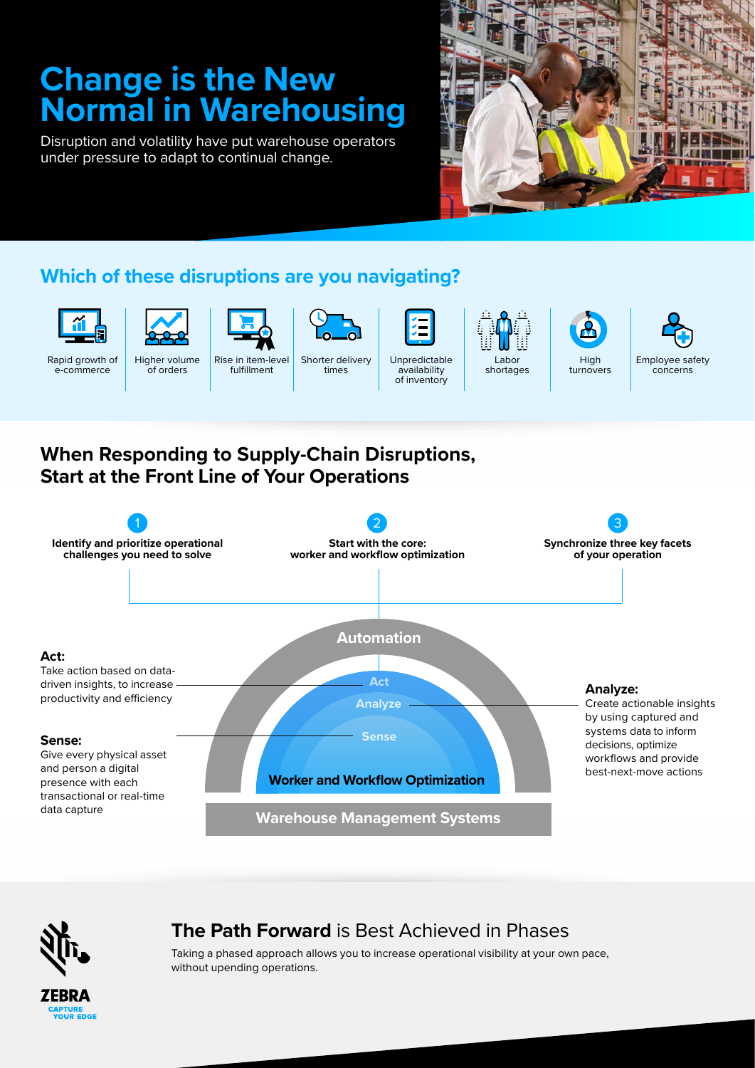# **Change is the New Normal in Warehousing**

Disruption and volatility have put warehouse operators under pressure to adapt to continual change.



## **Which of these disruptions are you navigating?**



Rapid growth of e-commerce





Shorter delivery times



Labor shortages





**When Responding to Supply-Chain Disruptions, Start at the Front Line of Your Operations**





FRR/ APTURE<br>YOUR EDGE

## **The Path Forward** is Best Achieved in Phases

Taking a phased approach allows you to increase operational visibility at your own pace, without upending operations.